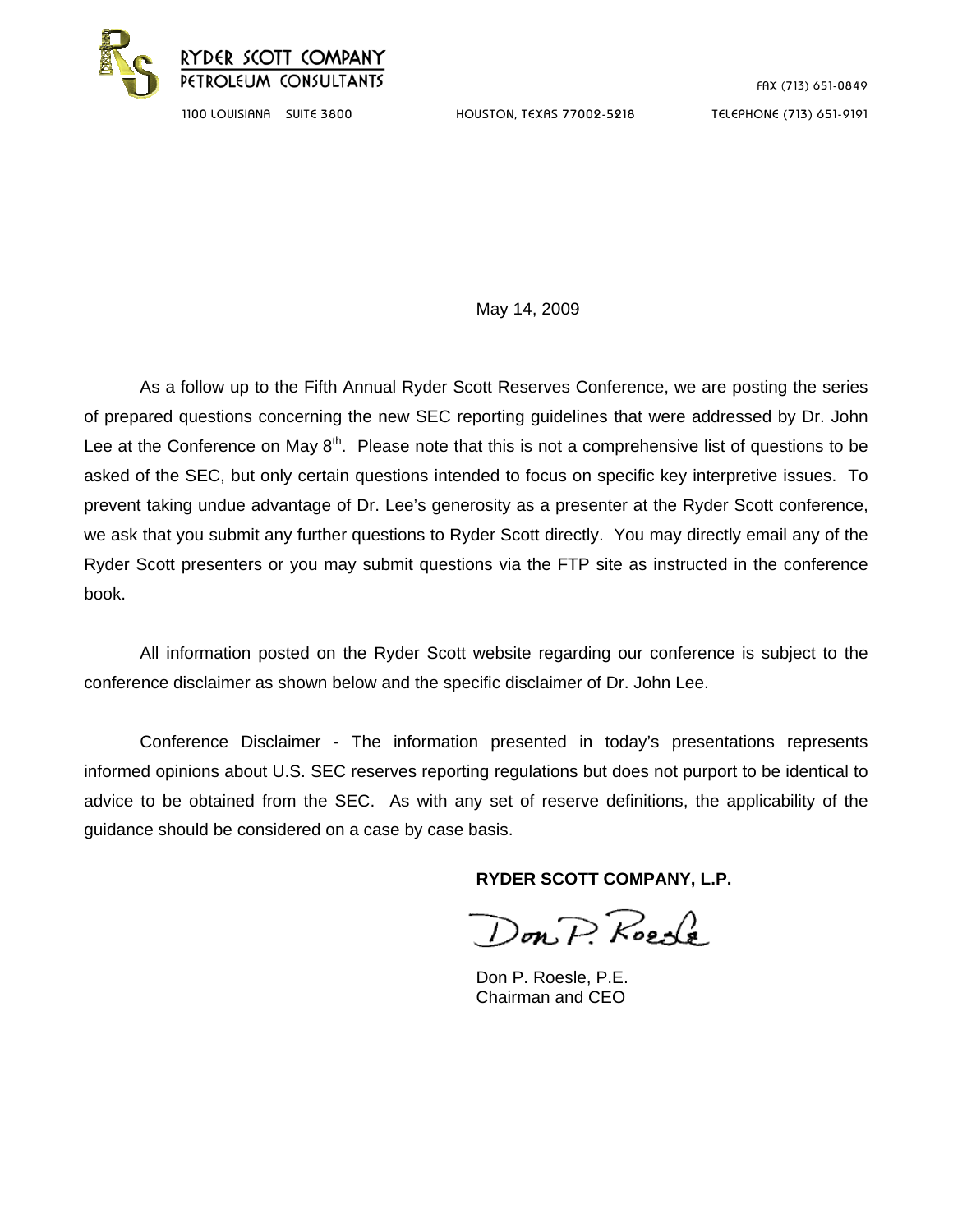

FAX (713) 651-0849

1100 LOUISIANA SUITE 3800 HOUSTON, TEXAS 77002-5218 TELEPHONE (713) 651-9191

May 14, 2009

 As a follow up to the Fifth Annual Ryder Scott Reserves Conference, we are posting the series of prepared questions concerning the new SEC reporting guidelines that were addressed by Dr. John Lee at the Conference on May  $8<sup>th</sup>$ . Please note that this is not a comprehensive list of questions to be asked of the SEC, but only certain questions intended to focus on specific key interpretive issues. To prevent taking undue advantage of Dr. Lee's generosity as a presenter at the Ryder Scott conference, we ask that you submit any further questions to Ryder Scott directly. You may directly email any of the Ryder Scott presenters or you may submit questions via the FTP site as instructed in the conference book.

All information posted on the Ryder Scott website regarding our conference is subject to the conference disclaimer as shown below and the specific disclaimer of Dr. John Lee.

 Conference Disclaimer - The information presented in today's presentations represents informed opinions about U.S. SEC reserves reporting regulations but does not purport to be identical to advice to be obtained from the SEC. As with any set of reserve definitions, the applicability of the guidance should be considered on a case by case basis.

**RYDER SCOTT COMPANY, L.P.** 

Don P. Roede

 Don P. Roesle, P.E. Chairman and CEO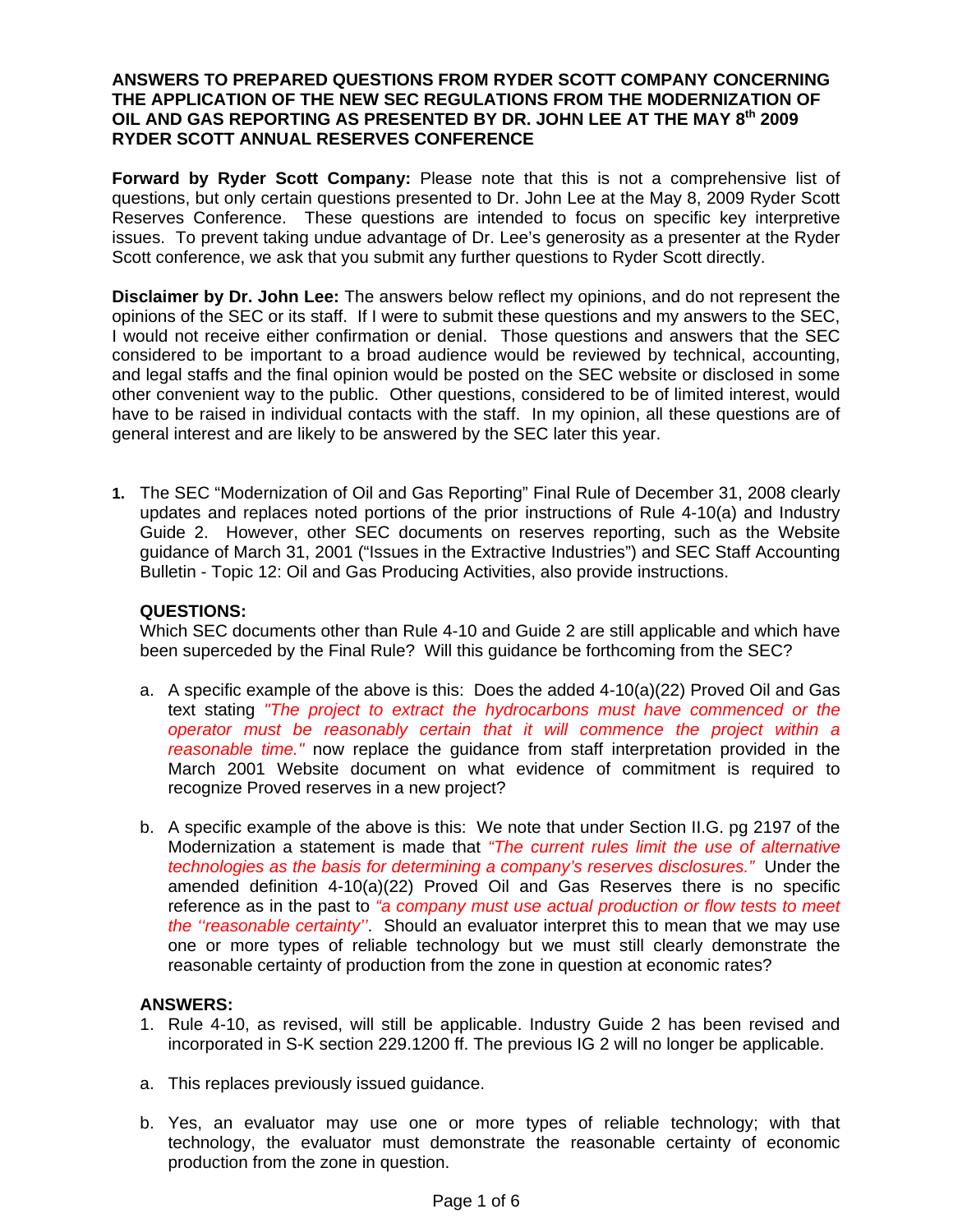## **ANSWERS TO PREPARED QUESTIONS FROM RYDER SCOTT COMPANY CONCERNING THE APPLICATION OF THE NEW SEC REGULATIONS FROM THE MODERNIZATION OF OIL AND GAS REPORTING AS PRESENTED BY DR. JOHN LEE AT THE MAY 8th 2009 RYDER SCOTT ANNUAL RESERVES CONFERENCE**

**Forward by Ryder Scott Company:** Please note that this is not a comprehensive list of questions, but only certain questions presented to Dr. John Lee at the May 8, 2009 Ryder Scott Reserves Conference. These questions are intended to focus on specific key interpretive issues. To prevent taking undue advantage of Dr. Lee's generosity as a presenter at the Ryder Scott conference, we ask that you submit any further questions to Ryder Scott directly.

**Disclaimer by Dr. John Lee:** The answers below reflect my opinions, and do not represent the opinions of the SEC or its staff. If I were to submit these questions and my answers to the SEC, I would not receive either confirmation or denial. Those questions and answers that the SEC considered to be important to a broad audience would be reviewed by technical, accounting, and legal staffs and the final opinion would be posted on the SEC website or disclosed in some other convenient way to the public. Other questions, considered to be of limited interest, would have to be raised in individual contacts with the staff. In my opinion, all these questions are of general interest and are likely to be answered by the SEC later this year.

**1.** The SEC "Modernization of Oil and Gas Reporting" Final Rule of December 31, 2008 clearly updates and replaces noted portions of the prior instructions of Rule 4-10(a) and Industry Guide 2. However, other SEC documents on reserves reporting, such as the Website guidance of March 31, 2001 ("Issues in the Extractive Industries") and SEC Staff Accounting Bulletin - Topic 12: Oil and Gas Producing Activities, also provide instructions.

# **QUESTIONS:**

Which SEC documents other than Rule 4-10 and Guide 2 are still applicable and which have been superceded by the Final Rule? Will this guidance be forthcoming from the SEC?

- a. A specific example of the above is this: Does the added 4-10(a)(22) Proved Oil and Gas text stating *"The project to extract the hydrocarbons must have commenced or the operator must be reasonably certain that it will commence the project within a reasonable time."* now replace the guidance from staff interpretation provided in the March 2001 Website document on what evidence of commitment is required to recognize Proved reserves in a new project?
- b. A specific example of the above is this: We note that under Section II.G. pg 2197 of the Modernization a statement is made that *"The current rules limit the use of alternative technologies as the basis for determining a company's reserves disclosures."* Under the amended definition 4-10(a)(22) Proved Oil and Gas Reserves there is no specific reference as in the past to *"a company must use actual production or flow tests to meet the ''reasonable certainty''*. Should an evaluator interpret this to mean that we may use one or more types of reliable technology but we must still clearly demonstrate the reasonable certainty of production from the zone in question at economic rates?

# **ANSWERS:**

- 1. Rule 4-10, as revised, will still be applicable. Industry Guide 2 has been revised and incorporated in S-K section 229.1200 ff. The previous IG 2 will no longer be applicable.
- a. This replaces previously issued guidance.
- b. Yes, an evaluator may use one or more types of reliable technology; with that technology, the evaluator must demonstrate the reasonable certainty of economic production from the zone in question.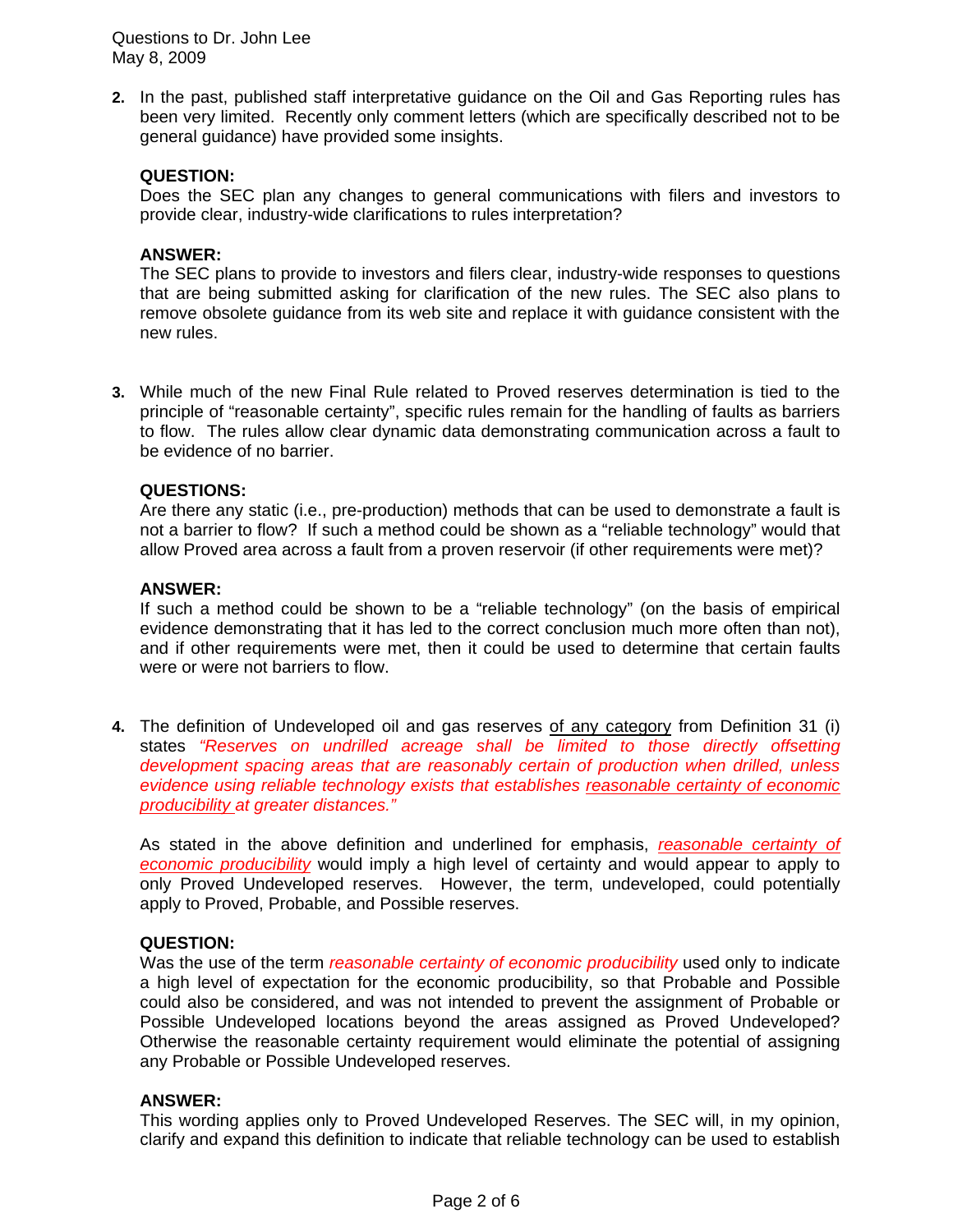Questions to Dr. John Lee May 8, 2009

**2.** In the past, published staff interpretative guidance on the Oil and Gas Reporting rules has been very limited. Recently only comment letters (which are specifically described not to be general guidance) have provided some insights.

# **QUESTION:**

Does the SEC plan any changes to general communications with filers and investors to provide clear, industry-wide clarifications to rules interpretation?

## **ANSWER:**

The SEC plans to provide to investors and filers clear, industry-wide responses to questions that are being submitted asking for clarification of the new rules. The SEC also plans to remove obsolete guidance from its web site and replace it with guidance consistent with the new rules.

**3.** While much of the new Final Rule related to Proved reserves determination is tied to the principle of "reasonable certainty", specific rules remain for the handling of faults as barriers to flow. The rules allow clear dynamic data demonstrating communication across a fault to be evidence of no barrier.

## **QUESTIONS:**

Are there any static (i.e., pre-production) methods that can be used to demonstrate a fault is not a barrier to flow? If such a method could be shown as a "reliable technology" would that allow Proved area across a fault from a proven reservoir (if other requirements were met)?

## **ANSWER:**

If such a method could be shown to be a "reliable technology" (on the basis of empirical evidence demonstrating that it has led to the correct conclusion much more often than not), and if other requirements were met, then it could be used to determine that certain faults were or were not barriers to flow.

**4.** The definition of Undeveloped oil and gas reserves of any category from Definition 31 (i) states *"Reserves on undrilled acreage shall be limited to those directly offsetting development spacing areas that are reasonably certain of production when drilled, unless evidence using reliable technology exists that establishes reasonable certainty of economic producibility at greater distances."*

As stated in the above definition and underlined for emphasis, *reasonable certainty of economic producibility* would imply a high level of certainty and would appear to apply to only Proved Undeveloped reserves. However, the term, undeveloped, could potentially apply to Proved, Probable, and Possible reserves.

### **QUESTION:**

Was the use of the term *reasonable certainty of economic producibility* used only to indicate a high level of expectation for the economic producibility, so that Probable and Possible could also be considered, and was not intended to prevent the assignment of Probable or Possible Undeveloped locations beyond the areas assigned as Proved Undeveloped? Otherwise the reasonable certainty requirement would eliminate the potential of assigning any Probable or Possible Undeveloped reserves.

### **ANSWER:**

This wording applies only to Proved Undeveloped Reserves. The SEC will, in my opinion, clarify and expand this definition to indicate that reliable technology can be used to establish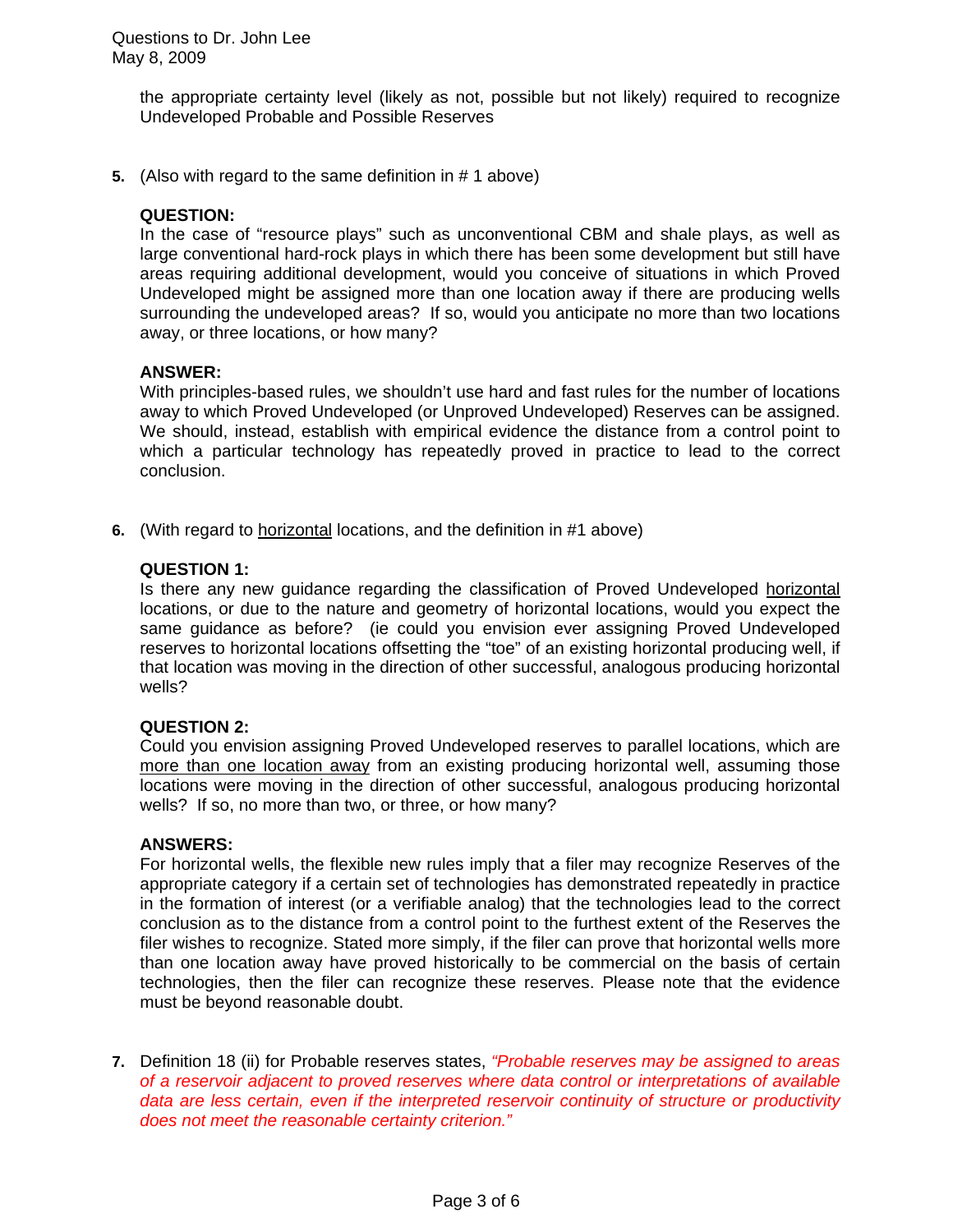the appropriate certainty level (likely as not, possible but not likely) required to recognize Undeveloped Probable and Possible Reserves

**5.** (Also with regard to the same definition in # 1 above)

# **QUESTION:**

In the case of "resource plays" such as unconventional CBM and shale plays, as well as large conventional hard-rock plays in which there has been some development but still have areas requiring additional development, would you conceive of situations in which Proved Undeveloped might be assigned more than one location away if there are producing wells surrounding the undeveloped areas? If so, would you anticipate no more than two locations away, or three locations, or how many?

## **ANSWER:**

With principles-based rules, we shouldn't use hard and fast rules for the number of locations away to which Proved Undeveloped (or Unproved Undeveloped) Reserves can be assigned. We should, instead, establish with empirical evidence the distance from a control point to which a particular technology has repeatedly proved in practice to lead to the correct conclusion.

**6.** (With regard to horizontal locations, and the definition in #1 above)

## **QUESTION 1:**

Is there any new guidance regarding the classification of Proved Undeveloped horizontal locations, or due to the nature and geometry of horizontal locations, would you expect the same guidance as before? (ie could you envision ever assigning Proved Undeveloped reserves to horizontal locations offsetting the "toe" of an existing horizontal producing well, if that location was moving in the direction of other successful, analogous producing horizontal wells?

### **QUESTION 2:**

Could you envision assigning Proved Undeveloped reserves to parallel locations, which are more than one location away from an existing producing horizontal well, assuming those locations were moving in the direction of other successful, analogous producing horizontal wells? If so, no more than two, or three, or how many?

### **ANSWERS:**

For horizontal wells, the flexible new rules imply that a filer may recognize Reserves of the appropriate category if a certain set of technologies has demonstrated repeatedly in practice in the formation of interest (or a verifiable analog) that the technologies lead to the correct conclusion as to the distance from a control point to the furthest extent of the Reserves the filer wishes to recognize. Stated more simply, if the filer can prove that horizontal wells more than one location away have proved historically to be commercial on the basis of certain technologies, then the filer can recognize these reserves. Please note that the evidence must be beyond reasonable doubt.

**7.** Definition 18 (ii) for Probable reserves states, *"Probable reserves may be assigned to areas of a reservoir adjacent to proved reserves where data control or interpretations of available data are less certain, even if the interpreted reservoir continuity of structure or productivity does not meet the reasonable certainty criterion."*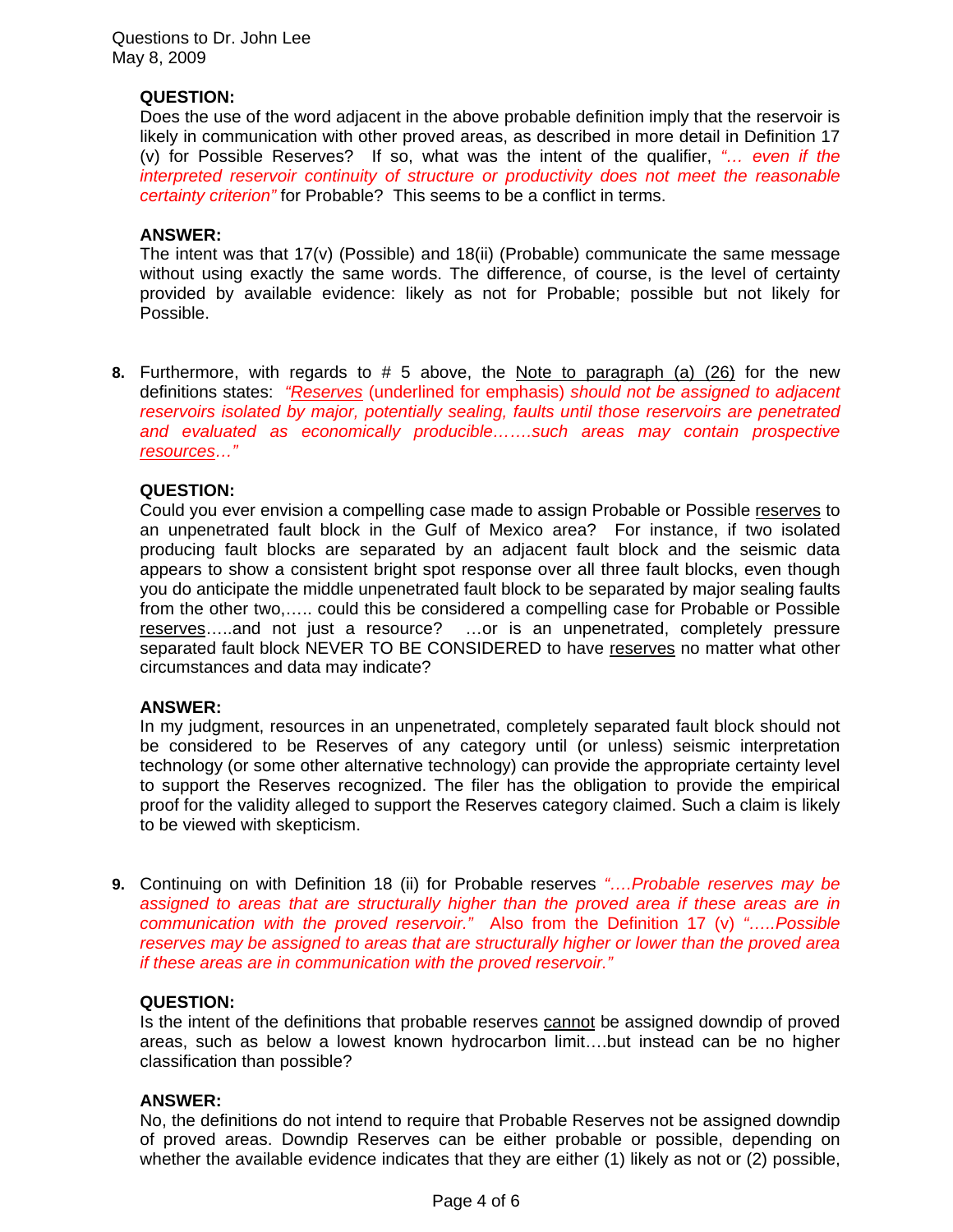Questions to Dr. John Lee May 8, 2009

# **QUESTION:**

Does the use of the word adjacent in the above probable definition imply that the reservoir is likely in communication with other proved areas, as described in more detail in Definition 17 (v) for Possible Reserves? If so, what was the intent of the qualifier, *"… even if the interpreted reservoir continuity of structure or productivity does not meet the reasonable certainty criterion"* for Probable? This seems to be a conflict in terms.

## **ANSWER:**

The intent was that 17(v) (Possible) and 18(ii) (Probable) communicate the same message without using exactly the same words. The difference, of course, is the level of certainty provided by available evidence: likely as not for Probable; possible but not likely for Possible.

**8.** Furthermore, with regards to # 5 above, the Note to paragraph (a) (26) for the new definitions states: *"Reserves* (underlined for emphasis) *should not be assigned to adjacent reservoirs isolated by major, potentially sealing, faults until those reservoirs are penetrated and evaluated as economically producible…….such areas may contain prospective resources…"* 

## **QUESTION:**

Could you ever envision a compelling case made to assign Probable or Possible reserves to an unpenetrated fault block in the Gulf of Mexico area? For instance, if two isolated producing fault blocks are separated by an adjacent fault block and the seismic data appears to show a consistent bright spot response over all three fault blocks, even though you do anticipate the middle unpenetrated fault block to be separated by major sealing faults from the other two,….. could this be considered a compelling case for Probable or Possible reserves…..and not just a resource? …or is an unpenetrated, completely pressure separated fault block NEVER TO BE CONSIDERED to have reserves no matter what other circumstances and data may indicate?

### **ANSWER:**

In my judgment, resources in an unpenetrated, completely separated fault block should not be considered to be Reserves of any category until (or unless) seismic interpretation technology (or some other alternative technology) can provide the appropriate certainty level to support the Reserves recognized. The filer has the obligation to provide the empirical proof for the validity alleged to support the Reserves category claimed. Such a claim is likely to be viewed with skepticism.

**9.** Continuing on with Definition 18 (ii) for Probable reserves *"….Probable reserves may be assigned to areas that are structurally higher than the proved area if these areas are in communication with the proved reservoir."* Also from the Definition 17 (v) *"…..Possible reserves may be assigned to areas that are structurally higher or lower than the proved area if these areas are in communication with the proved reservoir."* 

### **QUESTION:**

Is the intent of the definitions that probable reserves cannot be assigned downdip of proved areas, such as below a lowest known hydrocarbon limit….but instead can be no higher classification than possible?

### **ANSWER:**

No, the definitions do not intend to require that Probable Reserves not be assigned downdip of proved areas. Downdip Reserves can be either probable or possible, depending on whether the available evidence indicates that they are either (1) likely as not or (2) possible,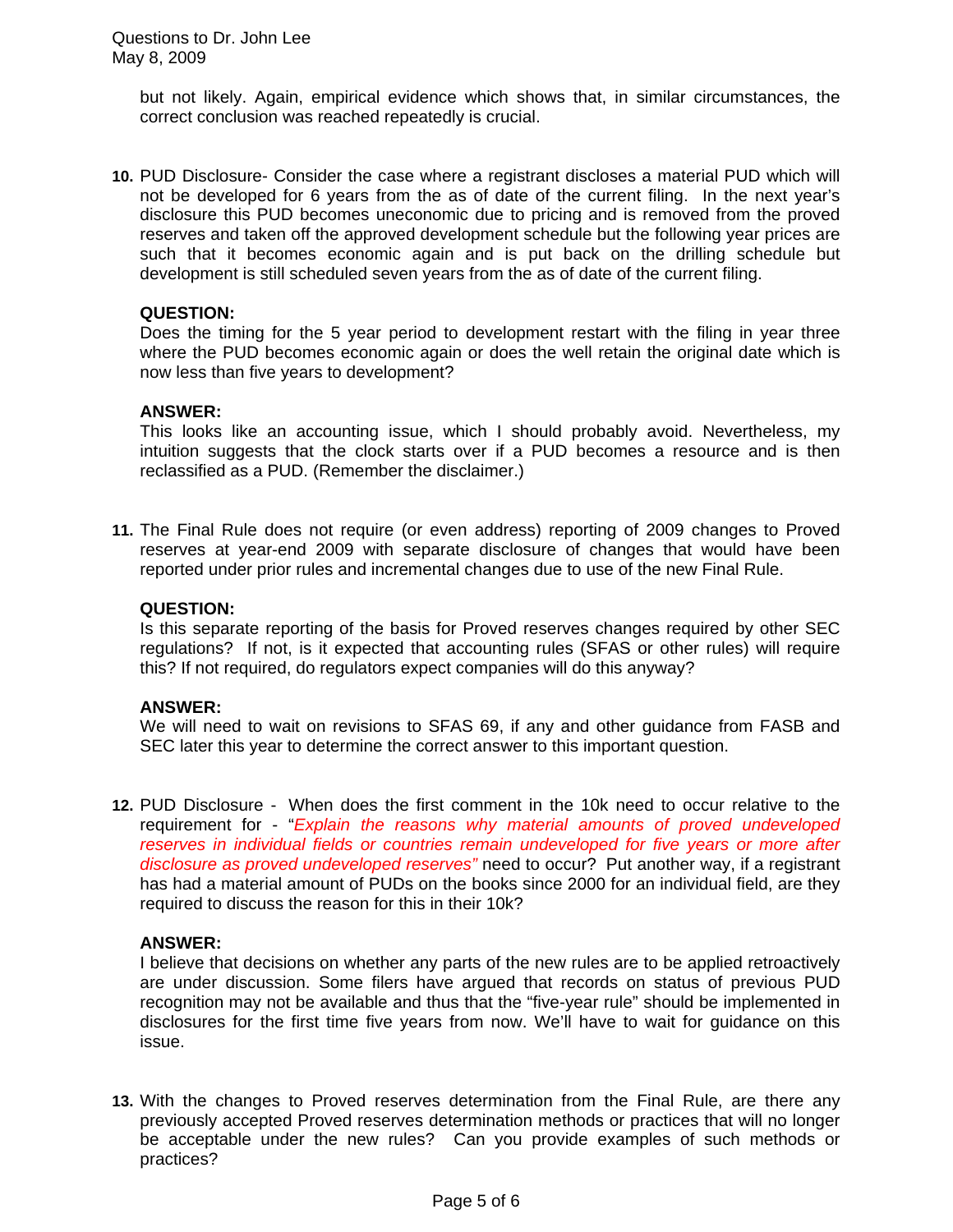but not likely. Again, empirical evidence which shows that, in similar circumstances, the correct conclusion was reached repeatedly is crucial.

**10.** PUD Disclosure- Consider the case where a registrant discloses a material PUD which will not be developed for 6 years from the as of date of the current filing. In the next year's disclosure this PUD becomes uneconomic due to pricing and is removed from the proved reserves and taken off the approved development schedule but the following year prices are such that it becomes economic again and is put back on the drilling schedule but development is still scheduled seven years from the as of date of the current filing.

## **QUESTION:**

Does the timing for the 5 year period to development restart with the filing in year three where the PUD becomes economic again or does the well retain the original date which is now less than five years to development?

## **ANSWER:**

This looks like an accounting issue, which I should probably avoid. Nevertheless, my intuition suggests that the clock starts over if a PUD becomes a resource and is then reclassified as a PUD. (Remember the disclaimer.)

**11.** The Final Rule does not require (or even address) reporting of 2009 changes to Proved reserves at year-end 2009 with separate disclosure of changes that would have been reported under prior rules and incremental changes due to use of the new Final Rule.

# **QUESTION:**

Is this separate reporting of the basis for Proved reserves changes required by other SEC regulations? If not, is it expected that accounting rules (SFAS or other rules) will require this? If not required, do regulators expect companies will do this anyway?

### **ANSWER:**

We will need to wait on revisions to SFAS 69, if any and other guidance from FASB and SEC later this year to determine the correct answer to this important question.

**12.** PUD Disclosure - When does the first comment in the 10k need to occur relative to the requirement for - "*Explain the reasons why material amounts of proved undeveloped reserves in individual fields or countries remain undeveloped for five years or more after disclosure as proved undeveloped reserves"* need to occur? Put another way, if a registrant has had a material amount of PUDs on the books since 2000 for an individual field, are they required to discuss the reason for this in their 10k?

# **ANSWER:**

I believe that decisions on whether any parts of the new rules are to be applied retroactively are under discussion. Some filers have argued that records on status of previous PUD recognition may not be available and thus that the "five-year rule" should be implemented in disclosures for the first time five years from now. We'll have to wait for guidance on this issue.

**13.** With the changes to Proved reserves determination from the Final Rule, are there any previously accepted Proved reserves determination methods or practices that will no longer be acceptable under the new rules? Can you provide examples of such methods or practices?